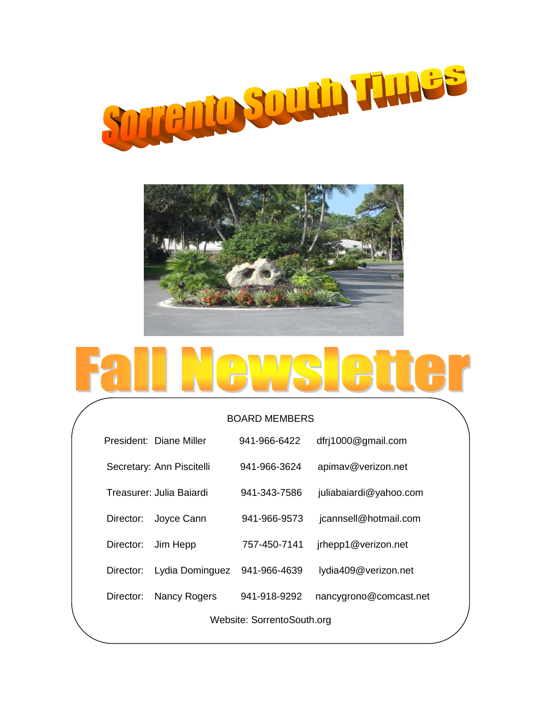



# $\mathbf{r}$

### BOARD MEMBERS

|                            | President: Diane Miller   | 941-966-6422 | dfrj1000@gmail.com     |  |
|----------------------------|---------------------------|--------------|------------------------|--|
|                            | Secretary: Ann Piscitelli | 941-966-3624 | apimav@verizon.net     |  |
|                            | Treasurer: Julia Baiardi  | 941-343-7586 | juliabaiardi@yahoo.com |  |
| Director:                  | Joyce Cann                | 941-966-9573 | jcannsell@hotmail.com  |  |
| Director:                  | Jim Hepp                  | 757-450-7141 | jrhepp1@verizon.net    |  |
| Director:                  | Lydia Dominguez           | 941-966-4639 | lydia409@verizon.net   |  |
| Director:                  | Nancy Rogers              | 941-918-9292 | nancygrono@comcast.net |  |
| Website: SorrentoSouth.org |                           |              |                        |  |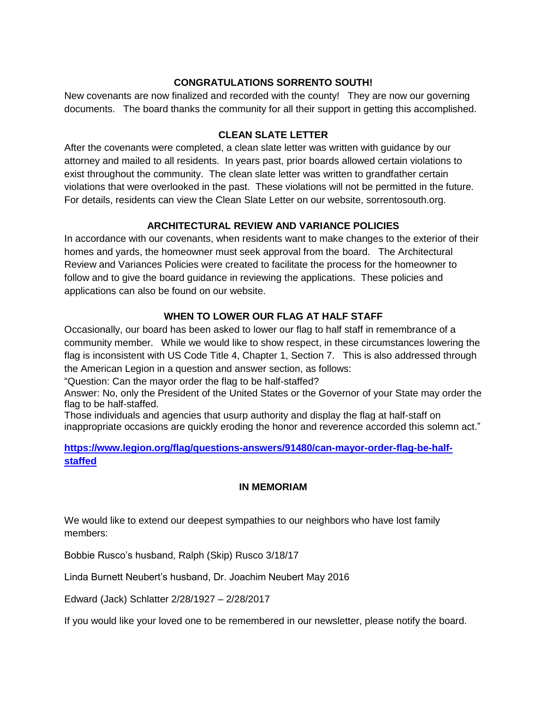# **CONGRATULATIONS SORRENTO SOUTH!**

New covenants are now finalized and recorded with the county! They are now our governing documents. The board thanks the community for all their support in getting this accomplished.

# **CLEAN SLATE LETTER**

After the covenants were completed, a clean slate letter was written with guidance by our attorney and mailed to all residents. In years past, prior boards allowed certain violations to exist throughout the community. The clean slate letter was written to grandfather certain violations that were overlooked in the past. These violations will not be permitted in the future. For details, residents can view the Clean Slate Letter on our website, sorrentosouth.org.

# **ARCHITECTURAL REVIEW AND VARIANCE POLICIES**

In accordance with our covenants, when residents want to make changes to the exterior of their homes and yards, the homeowner must seek approval from the board. The Architectural Review and Variances Policies were created to facilitate the process for the homeowner to follow and to give the board guidance in reviewing the applications. These policies and applications can also be found on our website.

# **WHEN TO LOWER OUR FLAG AT HALF STAFF**

Occasionally, our board has been asked to lower our flag to half staff in remembrance of a community member. While we would like to show respect, in these circumstances lowering the flag is inconsistent with US Code Title 4, Chapter 1, Section 7. This is also addressed through the American Legion in a question and answer section, as follows:

"Question: Can the mayor order the flag to be half-staffed?

Answer: No, only the President of the United States or the Governor of your State may order the flag to be half-staffed.

Those individuals and agencies that usurp authority and display the flag at half-staff on inappropriate occasions are quickly eroding the honor and reverence accorded this solemn act."

# **[https://www.legion.org/flag/questions-answers/91480/can-mayor-order-flag-be-half](https://www.legion.org/flag/questions-answers/91480/can-mayor-order-flag-be-half-staffed)[staffed](https://www.legion.org/flag/questions-answers/91480/can-mayor-order-flag-be-half-staffed)**

## **IN MEMORIAM**

We would like to extend our deepest sympathies to our neighbors who have lost family members:

Bobbie Rusco's husband, Ralph (Skip) Rusco 3/18/17

Linda Burnett Neubert's husband, Dr. Joachim Neubert May 2016

Edward (Jack) Schlatter 2/28/1927 – 2/28/2017

If you would like your loved one to be remembered in our newsletter, please notify the board.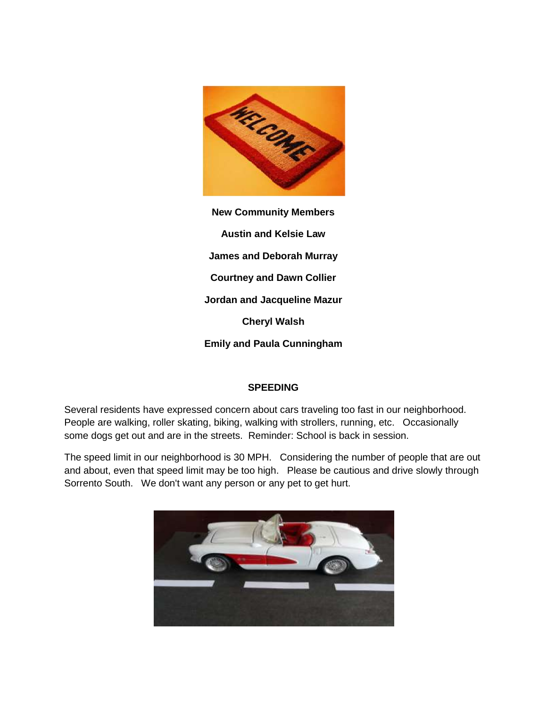

**New Community Members Austin and Kelsie Law James and Deborah Murray Courtney and Dawn Collier Jordan and Jacqueline Mazur Cheryl Walsh Emily and Paula Cunningham**

## **SPEEDING**

Several residents have expressed concern about cars traveling too fast in our neighborhood. People are walking, roller skating, biking, walking with strollers, running, etc. Occasionally some dogs get out and are in the streets. Reminder: School is back in session.

The speed limit in our neighborhood is 30 MPH. Considering the number of people that are out and about, even that speed limit may be too high. Please be cautious and drive slowly through Sorrento South. We don't want any person or any pet to get hurt.